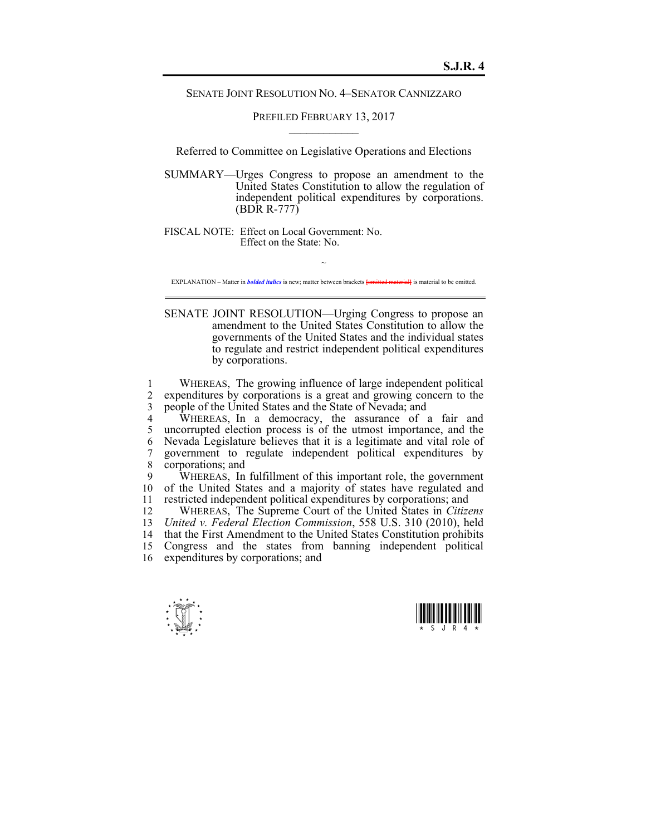SENATE JOINT RESOLUTION NO. 4–SENATOR CANNIZZARO

PREFILED FEBRUARY 13, 2017  $\mathcal{L}_\text{max}$ 

Referred to Committee on Legislative Operations and Elections

SUMMARY—Urges Congress to propose an amendment to the United States Constitution to allow the regulation of independent political expenditures by corporations. (BDR R-777)

FISCAL NOTE: Effect on Local Government: No. Effect on the State: No.

~ EXPLANATION – Matter in *bolded italics* is new; matter between brackets **{omitted material}** is material to be omitted.

SENATE JOINT RESOLUTION—Urging Congress to propose an amendment to the United States Constitution to allow the governments of the United States and the individual states to regulate and restrict independent political expenditures by corporations.

1 WHEREAS, The growing influence of large independent political<br>2 expenditures by corporations is a great and growing concern to the expenditures by corporations is a great and growing concern to the 3 people of the United States and the State of Nevada; and

4 WHEREAS, In a democracy, the assurance of a fair and 5 uncorrupted election process is of the utmost importance, and the 6 Nevada Legislature believes that it is a legitimate and vital role of 7 government to regulate independent political expenditures by 8 corporations; and<br>9 WHEREAS In

WHEREAS, In fulfillment of this important role, the government 10 of the United States and a majority of states have regulated and 11 restricted independent political expenditures by corporations; and<br>12 WHEREAS The Supreme Court of the United States in Citize

12 WHEREAS, The Supreme Court of the United States in *Citizens*  13 *United v. Federal Election Commission*, 558 U.S. 310 (2010), held 14 that the First Amendment to the United States Constitution prohibits<br>15 Congress and the states from banning independent political Congress and the states from banning independent political 16 expenditures by corporations; and